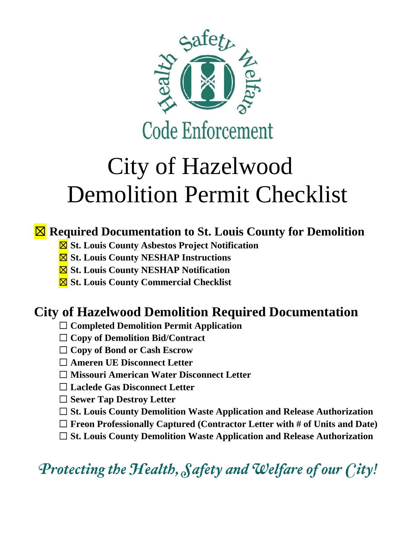

# City of Hazelwood Demolition Permit Checklist

#### ☒ **Required Documentation to St. Louis County for Demolition**

- ☒ **St. Louis County Asbestos Project Notification**
- ☒ **St. Louis County NESHAP Instructions**
- ☒ **St. Louis County NESHAP Notification**
- ☒ **St. Louis County Commercial Checklist**

### **City of Hazelwood Demolition Required Documentation**

- ☐ **Completed Demolition Permit Application**
- ☐ **Copy of Demolition Bid/Contract**
- ☐ **Copy of Bond or Cash Escrow**
- ☐ **Ameren UE Disconnect Letter**
- ☐ **Missouri American Water Disconnect Letter**
- ☐ **Laclede Gas Disconnect Letter**
- ☐ **Sewer Tap Destroy Letter**
- ☐ **St. Louis County Demolition Waste Application and Release Authorization**
- ☐ **Freon Professionally Captured (Contractor Letter with # of Units and Date)**
- ☐ **St. Louis County Demolition Waste Application and Release Authorization**

Protecting the Health, Safety and Welfare of our City!